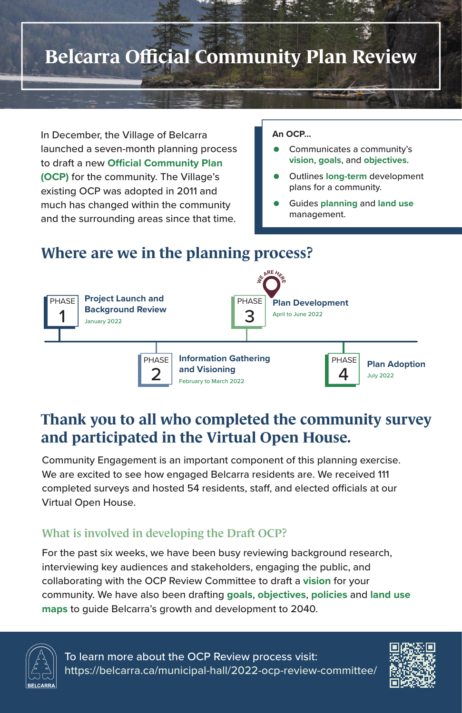# **Belcarra Official Community Plan Review**

To learn more about the OCP Review process visit: https://belcarra.ca/municipal-hall/2022-ocp-review-committee/



In December, the Village of Belcarra launched a seven-month planning process to draft a new **Official Community Plan (OCP)** for the community. The Village's existing OCP was adopted in 2011 and much has changed within the community and the surrounding areas since that time.

### **Where are we in the planning process?**

### **Thank you to all who completed the community survey and participated in the Virtual Open House.**

- Communicates a community's **vision**, **goals**, and **objectives**.
- Outlines **long-term** development plans for a community.
- Guides **planning** and **land use** management.

#### **An OCP...**



Community Engagement is an important component of this planning exercise. We are excited to see how engaged Belcarra residents are. We received 111 completed surveys and hosted 54 residents, staff, and elected officials at our Virtual Open House.

### What is involved in developing the Draft OCP?

For the past six weeks, we have been busy reviewing background research, interviewing key audiences and stakeholders, engaging the public, and collaborating with the OCP Review Committee to draft a **vision** for your community. We have also been drafting **goals**, **objectives**, **policies** and **land use maps** to guide Belcarra's growth and development to 2040.